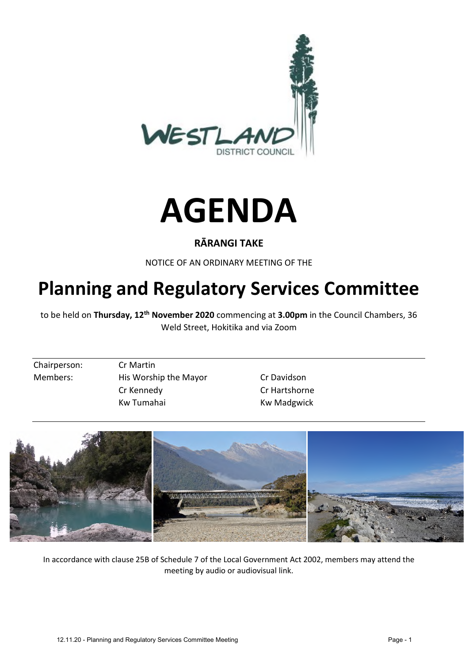



## **RĀRANGI TAKE**

NOTICE OF AN ORDINARY MEETING OF THE

# **Planning and Regulatory Services Committee**

to be held on **Thursday, 12th November 2020** commencing at **3.00pm** in the Council Chambers, 36 Weld Street, Hokitika and via Zoom

Chairperson: Cr Martin

Members: His Worship the Mayor Cr Davidson Cr Kennedy Cr Hartshorne Kw Tumahai Kw Madgwick



In accordance with clause 25B of Schedule 7 of the Local Government Act 2002, members may attend the meeting by audio or audiovisual link.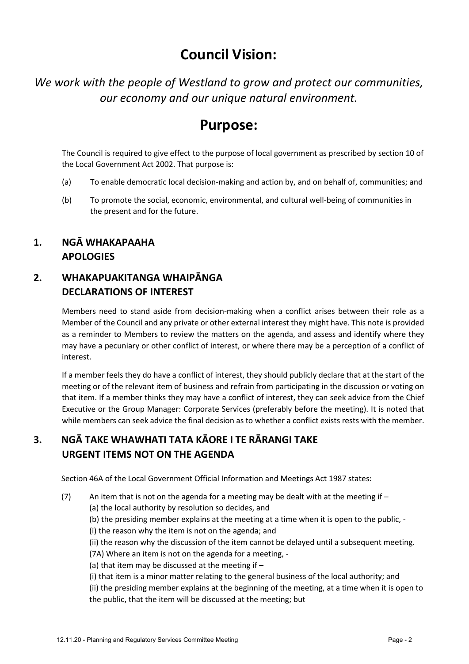## **Council Vision:**

*We work with the people of Westland to grow and protect our communities, our economy and our unique natural environment.* 

## **Purpose:**

The Council is required to give effect to the purpose of local government as prescribed by section 10 of the Local Government Act 2002. That purpose is:

- (a) To enable democratic local decision-making and action by, and on behalf of, communities; and
- (b) To promote the social, economic, environmental, and cultural well-being of communities in the present and for the future.

## **1. NGĀ WHAKAPAAHA APOLOGIES**

## **2. WHAKAPUAKITANGA WHAIPĀNGA DECLARATIONS OF INTEREST**

Members need to stand aside from decision-making when a conflict arises between their role as a Member of the Council and any private or other external interest they might have. This note is provided as a reminder to Members to review the matters on the agenda, and assess and identify where they may have a pecuniary or other conflict of interest, or where there may be a perception of a conflict of interest.

If a member feels they do have a conflict of interest, they should publicly declare that at the start of the meeting or of the relevant item of business and refrain from participating in the discussion or voting on that item. If a member thinks they may have a conflict of interest, they can seek advice from the Chief Executive or the Group Manager: Corporate Services (preferably before the meeting). It is noted that while members can seek advice the final decision as to whether a conflict exists rests with the member.

## **3. NGĀ TAKE WHAWHATI TATA KĀORE I TE RĀRANGI TAKE URGENT ITEMS NOT ON THE AGENDA**

Section 46A of the Local Government Official Information and Meetings Act 1987 states:

(7) An item that is not on the agenda for a meeting may be dealt with at the meeting if  $-$ (a) the local authority by resolution so decides, and

(b) the presiding member explains at the meeting at a time when it is open to the public, -

(i) the reason why the item is not on the agenda; and

(ii) the reason why the discussion of the item cannot be delayed until a subsequent meeting.

(7A) Where an item is not on the agenda for a meeting, -

(a) that item may be discussed at the meeting if –

(i) that item is a minor matter relating to the general business of the local authority; and

(ii) the presiding member explains at the beginning of the meeting, at a time when it is open to the public, that the item will be discussed at the meeting; but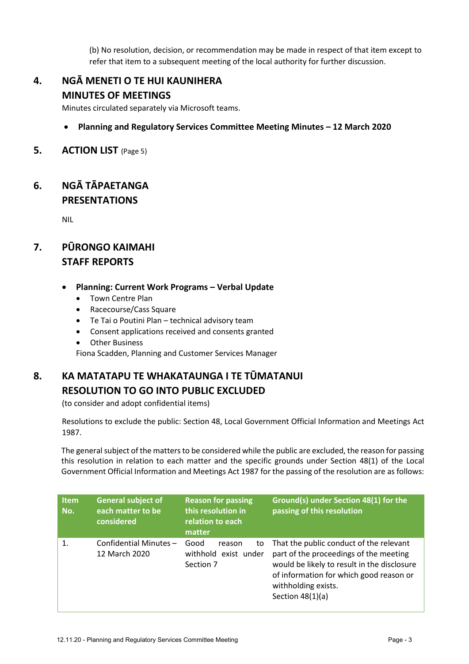(b) No resolution, decision, or recommendation may be made in respect of that item except to refer that item to a subsequent meeting of the local authority for further discussion.

### **4. NGĀ MENETI O TE HUI KAUNIHERA MINUTES OF MEETINGS**

Minutes circulated separately via Microsoft teams.

#### **Planning and Regulatory Services Committee Meeting Minutes – 12 March 2020**

**5. ACTION LIST** (Page 5)

### **6. NGĀ TĀPAETANGA PRESENTATIONS**

NIL

## **7. PŪRONGO KAIMAHI STAFF REPORTS**

#### **Planning: Current Work Programs – Verbal Update**

- Town Centre Plan
- Racecourse/Cass Square
- Te Tai o Poutini Plan technical advisory team
- Consent applications received and consents granted
- Other Business

Fiona Scadden, Planning and Customer Services Manager

## **8. KA MATATAPU TE WHAKATAUNGA I TE TŪMATANUI RESOLUTION TO GO INTO PUBLIC EXCLUDED**

(to consider and adopt confidential items)

Resolutions to exclude the public: Section 48, Local Government Official Information and Meetings Act 1987.

The general subject of the matters to be considered while the public are excluded, the reason for passing this resolution in relation to each matter and the specific grounds under Section 48(1) of the Local Government Official Information and Meetings Act 1987 for the passing of the resolution are as follows:

| <b>Item</b><br>No. | <b>General subject of</b><br>each matter to be<br>considered | <b>Reason for passing</b><br>this resolution in<br>relation to each<br>matter | Ground(s) under Section 48(1) for the<br>passing of this resolution                                                                                                                                                      |
|--------------------|--------------------------------------------------------------|-------------------------------------------------------------------------------|--------------------------------------------------------------------------------------------------------------------------------------------------------------------------------------------------------------------------|
| $\mathbf{1}$       | Confidential Minutes -<br>12 March 2020                      | Good<br>to<br>reason<br>withhold exist under<br>Section 7                     | That the public conduct of the relevant<br>part of the proceedings of the meeting<br>would be likely to result in the disclosure<br>of information for which good reason or<br>withholding exists.<br>Section $48(1)(a)$ |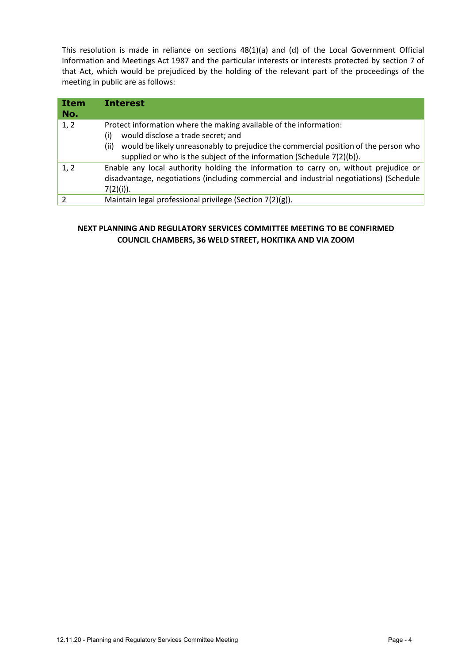This resolution is made in reliance on sections 48(1)(a) and (d) of the Local Government Official Information and Meetings Act 1987 and the particular interests or interests protected by section 7 of that Act, which would be prejudiced by the holding of the relevant part of the proceedings of the meeting in public are as follows:

| Item<br>No. | <b>Interest</b>                                                                             |
|-------------|---------------------------------------------------------------------------------------------|
| 1, 2        | Protect information where the making available of the information:                          |
|             | would disclose a trade secret; and<br>(i)                                                   |
|             | would be likely unreasonably to prejudice the commercial position of the person who<br>(ii) |
|             | supplied or who is the subject of the information (Schedule 7(2)(b)).                       |
| 1, 2        | Enable any local authority holding the information to carry on, without prejudice or        |
|             | disadvantage, negotiations (including commercial and industrial negotiations) (Schedule     |
|             | $7(2)(i)$ ).                                                                                |
|             | Maintain legal professional privilege (Section 7(2)(g)).                                    |

#### **NEXT PLANNING AND REGULATORY SERVICES COMMITTEE MEETING TO BE CONFIRMED COUNCIL CHAMBERS, 36 WELD STREET, HOKITIKA AND VIA ZOOM**